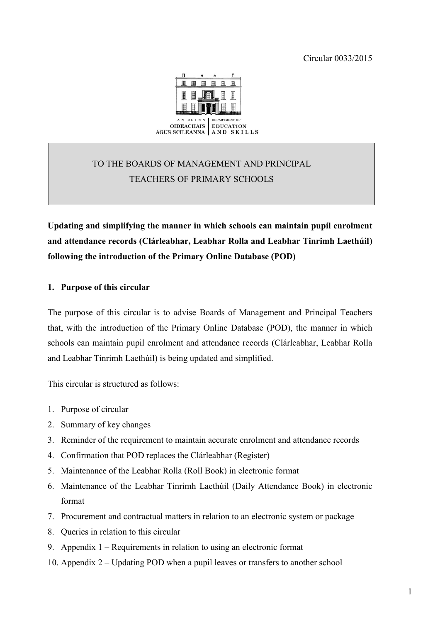

# TO THE BOARDS OF MANAGEMENT AND PRINCIPAL TEACHERS OF PRIMARY SCHOOLS

**Updating and simplifying the manner in which schools can maintain pupil enrolment and attendance records (Clárleabhar, Leabhar Rolla and Leabhar Tinrimh Laethúil) following the introduction of the Primary Online Database (POD)** 

# **1. Purpose of this circular**

The purpose of this circular is to advise Boards of Management and Principal Teachers that, with the introduction of the Primary Online Database (POD), the manner in which schools can maintain pupil enrolment and attendance records (Clárleabhar, Leabhar Rolla and Leabhar Tinrimh Laethúil) is being updated and simplified.

This circular is structured as follows:

- 1. Purpose of circular
- 2. Summary of key changes
- 3. Reminder of the requirement to maintain accurate enrolment and attendance records
- 4. Confirmation that POD replaces the Clárleabhar (Register)
- 5. Maintenance of the Leabhar Rolla (Roll Book) in electronic format
- 6. Maintenance of the Leabhar Tinrimh Laethúil (Daily Attendance Book) in electronic format
- 7. Procurement and contractual matters in relation to an electronic system or package
- 8. Queries in relation to this circular
- 9. Appendix 1 Requirements in relation to using an electronic format
- 10. Appendix 2 Updating POD when a pupil leaves or transfers to another school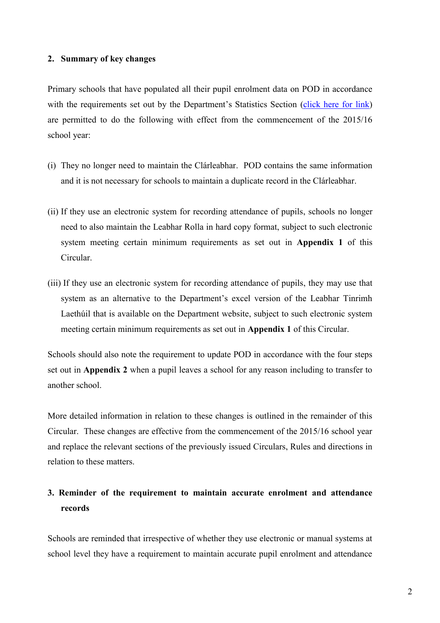### **2. Summary of key changes**

Primary schools that have populated all their pupil enrolment data on POD in accordance with the requirements set out by the Department's Statistics Section [\(click here for link\)](http://www.education.ie/en/Publications/Statistics/Primary-Online-Database-POD-/POD-Fair-Processing-Notice.pdf) are permitted to do the following with effect from the commencement of the 2015/16 school year:

- (i) They no longer need to maintain the Clárleabhar. POD contains the same information and it is not necessary for schools to maintain a duplicate record in the Clárleabhar.
- (ii) If they use an electronic system for recording attendance of pupils, schools no longer need to also maintain the Leabhar Rolla in hard copy format, subject to such electronic system meeting certain minimum requirements as set out in **Appendix 1** of this Circular.
- (iii) If they use an electronic system for recording attendance of pupils, they may use that system as an alternative to the Department's excel version of the Leabhar Tinrimh Laethúil that is available on the Department website, subject to such electronic system meeting certain minimum requirements as set out in **Appendix 1** of this Circular.

Schools should also note the requirement to update POD in accordance with the four steps set out in **Appendix 2** when a pupil leaves a school for any reason including to transfer to another school.

More detailed information in relation to these changes is outlined in the remainder of this Circular. These changes are effective from the commencement of the 2015/16 school year and replace the relevant sections of the previously issued Circulars, Rules and directions in relation to these matters.

# **3. Reminder of the requirement to maintain accurate enrolment and attendance records**

Schools are reminded that irrespective of whether they use electronic or manual systems at school level they have a requirement to maintain accurate pupil enrolment and attendance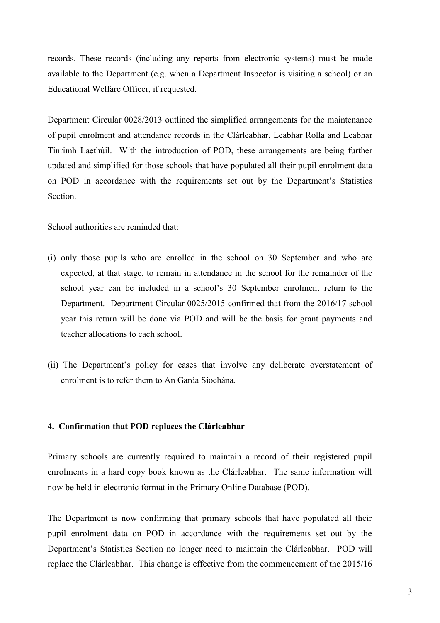records. These records (including any reports from electronic systems) must be made available to the Department (e.g. when a Department Inspector is visiting a school) or an Educational Welfare Officer, if requested.

Department Circular 0028/2013 outlined the simplified arrangements for the maintenance of pupil enrolment and attendance records in the Clárleabhar, Leabhar Rolla and Leabhar Tinrimh Laethúil. With the introduction of POD, these arrangements are being further updated and simplified for those schools that have populated all their pupil enrolment data on POD in accordance with the requirements set out by the Department's Statistics Section.

School authorities are reminded that:

- (i) only those pupils who are enrolled in the school on 30 September and who are expected, at that stage, to remain in attendance in the school for the remainder of the school year can be included in a school's 30 September enrolment return to the Department. Department Circular 0025/2015 confirmed that from the 2016/17 school year this return will be done via POD and will be the basis for grant payments and teacher allocations to each school.
- (ii) The Department's policy for cases that involve any deliberate overstatement of enrolment is to refer them to An Garda Síochána.

## **4. Confirmation that POD replaces the Clárleabhar**

Primary schools are currently required to maintain a record of their registered pupil enrolments in a hard copy book known as the Clárleabhar. The same information will now be held in electronic format in the Primary Online Database (POD).

The Department is now confirming that primary schools that have populated all their pupil enrolment data on POD in accordance with the requirements set out by the Department's Statistics Section no longer need to maintain the Clárleabhar. POD will replace the Clárleabhar. This change is effective from the commencement of the 2015/16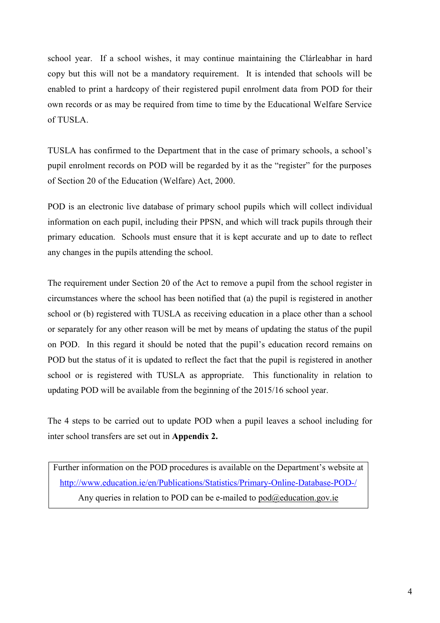school year. If a school wishes, it may continue maintaining the Clárleabhar in hard copy but this will not be a mandatory requirement. It is intended that schools will be enabled to print a hardcopy of their registered pupil enrolment data from POD for their own records or as may be required from time to time by the Educational Welfare Service of TUSLA.

TUSLA has confirmed to the Department that in the case of primary schools, a school's pupil enrolment records on POD will be regarded by it as the "register" for the purposes of Section 20 of the Education (Welfare) Act, 2000.

POD is an electronic live database of primary school pupils which will collect individual information on each pupil, including their PPSN, and which will track pupils through their primary education. Schools must ensure that it is kept accurate and up to date to reflect any changes in the pupils attending the school.

The requirement under Section 20 of the Act to remove a pupil from the school register in circumstances where the school has been notified that (a) the pupil is registered in another school or (b) registered with TUSLA as receiving education in a place other than a school or separately for any other reason will be met by means of updating the status of the pupil on POD. In this regard it should be noted that the pupil's education record remains on POD but the status of it is updated to reflect the fact that the pupil is registered in another school or is registered with TUSLA as appropriate. This functionality in relation to updating POD will be available from the beginning of the 2015/16 school year.

The 4 steps to be carried out to update POD when a pupil leaves a school including for inter school transfers are set out in **Appendix 2.**

Further information on the POD procedures is available on the Department's website at <http://www.education.ie/en/Publications/Statistics/Primary-Online-Database-POD-/> Any queries in relation to POD can be e-mailed to pod $@$ education.gov.ie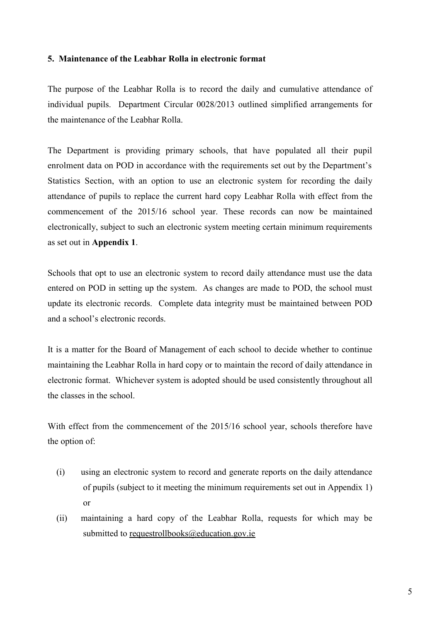## **5. Maintenance of the Leabhar Rolla in electronic format**

The purpose of the Leabhar Rolla is to record the daily and cumulative attendance of individual pupils. Department Circular 0028/2013 outlined simplified arrangements for the maintenance of the Leabhar Rolla.

The Department is providing primary schools, that have populated all their pupil enrolment data on POD in accordance with the requirements set out by the Department's Statistics Section, with an option to use an electronic system for recording the daily attendance of pupils to replace the current hard copy Leabhar Rolla with effect from the commencement of the 2015/16 school year. These records can now be maintained electronically, subject to such an electronic system meeting certain minimum requirements as set out in **Appendix 1**.

Schools that opt to use an electronic system to record daily attendance must use the data entered on POD in setting up the system. As changes are made to POD, the school must update its electronic records. Complete data integrity must be maintained between POD and a school's electronic records.

It is a matter for the Board of Management of each school to decide whether to continue maintaining the Leabhar Rolla in hard copy or to maintain the record of daily attendance in electronic format. Whichever system is adopted should be used consistently throughout all the classes in the school.

With effect from the commencement of the 2015/16 school year, schools therefore have the option of:

- (i) using an electronic system to record and generate reports on the daily attendance of pupils (subject to it meeting the minimum requirements set out in Appendix 1) or
- (ii) maintaining a hard copy of the Leabhar Rolla, requests for which may be submitted to [requestrollbooks@education.gov.ie](mailto:requestrollbooks@education.gov.ie)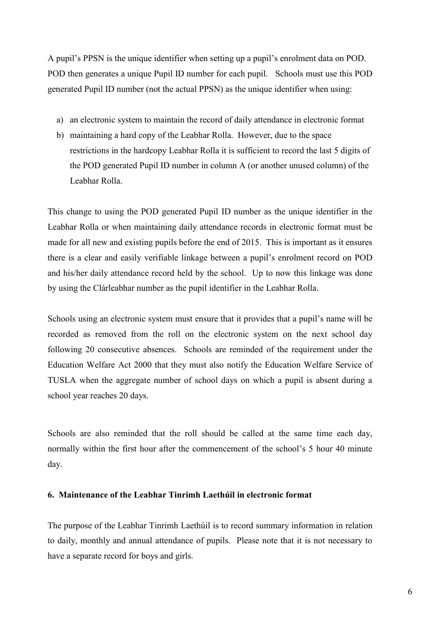A pupil's PPSN is the unique identifier when setting up a pupil's enrolment data on POD. POD then generates a unique Pupil ID number for each pupil. Schools must use this POD generated Pupil ID number (not the actual PPSN) as the unique identifier when using:

- a) an electronic system to maintain the record of daily attendance in electronic format
- b) maintaining a hard copy of the Leabhar Rolla. However, due to the space restrictions in the hardcopy Leabhar Rolla it is sufficient to record the last 5 digits of the POD generated Pupil ID number in column A (or another unused column) of the Leabhar Rolla.

This change to using the POD generated Pupil ID number as the unique identifier in the Leabhar Rolla or when maintaining daily attendance records in electronic format must be made for all new and existing pupils before the end of 2015. This is important as it ensures there is a clear and easily verifiable linkage between a pupil's enrolment record on POD and his/her daily attendance record held by the school. Up to now this linkage was done by using the Clárleabhar number as the pupil identifier in the Leabhar Rolla.

Schools using an electronic system must ensure that it provides that a pupil's name will be recorded as removed from the roll on the electronic system on the next school day following 20 consecutive absences. Schools are reminded of the requirement under the Education Welfare Act 2000 that they must also notify the Education Welfare Service of TUSLA when the aggregate number of school days on which a pupil is absent during a school year reaches 20 days.

Schools are also reminded that the roll should be called at the same time each day, normally within the first hour after the commencement of the school's 5 hour 40 minute day.

### **6. Maintenance of the Leabhar Tinrimh Laethúil in electronic format**

The purpose of the Leabhar Tinrimh Laethúil is to record summary information in relation to daily, monthly and annual attendance of pupils. Please note that it is not necessary to have a separate record for boys and girls.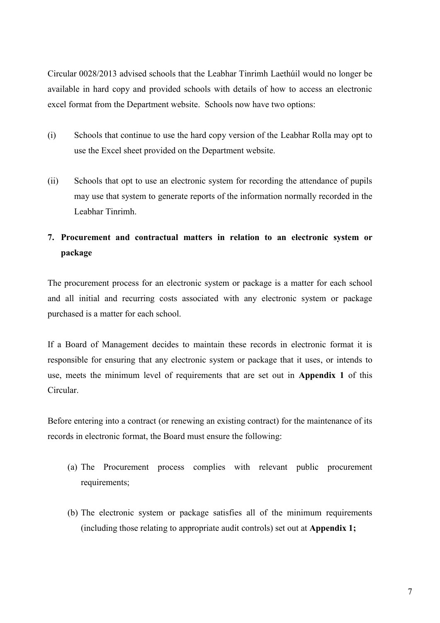Circular 0028/2013 advised schools that the Leabhar Tinrimh Laethúil would no longer be available in hard copy and provided schools with details of how to access an electronic excel format from the Department website. Schools now have two options:

- (i) Schools that continue to use the hard copy version of the Leabhar Rolla may opt to use the Excel sheet provided on the Department website.
- (ii) Schools that opt to use an electronic system for recording the attendance of pupils may use that system to generate reports of the information normally recorded in the Leabhar Tinrimh.

# **7. Procurement and contractual matters in relation to an electronic system or package**

The procurement process for an electronic system or package is a matter for each school and all initial and recurring costs associated with any electronic system or package purchased is a matter for each school.

If a Board of Management decides to maintain these records in electronic format it is responsible for ensuring that any electronic system or package that it uses, or intends to use, meets the minimum level of requirements that are set out in **Appendix 1** of this Circular.

Before entering into a contract (or renewing an existing contract) for the maintenance of its records in electronic format, the Board must ensure the following:

- (a) The Procurement process complies with relevant public procurement requirements;
- (b) The electronic system or package satisfies all of the minimum requirements (including those relating to appropriate audit controls) set out at **Appendix 1;**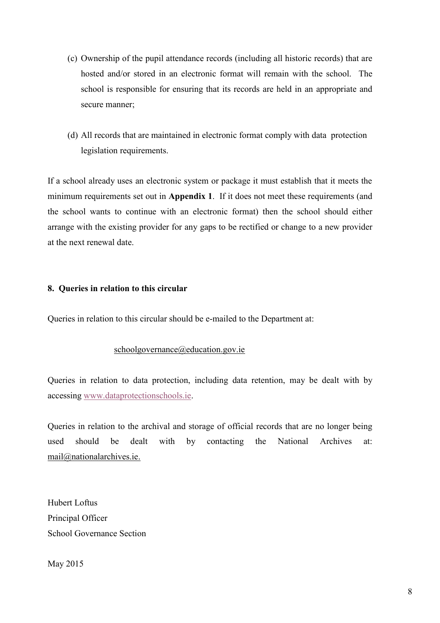- (c) Ownership of the pupil attendance records (including all historic records) that are hosted and/or stored in an electronic format will remain with the school. The school is responsible for ensuring that its records are held in an appropriate and secure manner;
- (d) All records that are maintained in electronic format comply with data protection legislation requirements.

If a school already uses an electronic system or package it must establish that it meets the minimum requirements set out in **Appendix 1**. If it does not meet these requirements (and the school wants to continue with an electronic format) then the school should either arrange with the existing provider for any gaps to be rectified or change to a new provider at the next renewal date.

# **8. Queries in relation to this circular**

Queries in relation to this circular should be e-mailed to the Department at:

## [schoolgovernance@education.gov.ie](mailto:schoolgovernance@education.gov.ie)

Queries in relation to data protection, including data retention, may be dealt with by accessing [www.dataprotectionschools.ie.](http://www.dataprotectionschools.ie/)

Queries in relation to the archival and storage of official records that are no longer being used should be dealt with by contacting the National Archives at: [mail@nationalarchives.ie.](mailto:mail@nationalarchives.ie)

Hubert Loftus Principal Officer School Governance Section

May 2015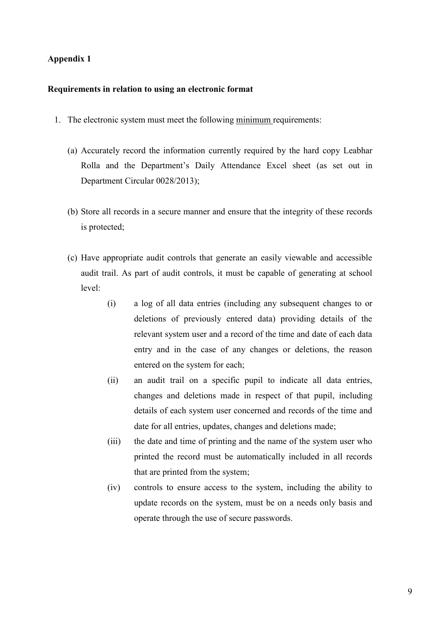## **Appendix 1**

#### **Requirements in relation to using an electronic format**

- 1. The electronic system must meet the following minimum requirements:
	- (a) Accurately record the information currently required by the hard copy Leabhar Rolla and the Department's Daily Attendance Excel sheet (as set out in Department Circular 0028/2013);
	- (b) Store all records in a secure manner and ensure that the integrity of these records is protected;
	- (c) Have appropriate audit controls that generate an easily viewable and accessible audit trail. As part of audit controls, it must be capable of generating at school level:
		- (i) a log of all data entries (including any subsequent changes to or deletions of previously entered data) providing details of the relevant system user and a record of the time and date of each data entry and in the case of any changes or deletions, the reason entered on the system for each;
		- (ii) an audit trail on a specific pupil to indicate all data entries, changes and deletions made in respect of that pupil, including details of each system user concerned and records of the time and date for all entries, updates, changes and deletions made;
		- (iii) the date and time of printing and the name of the system user who printed the record must be automatically included in all records that are printed from the system;
		- (iv) controls to ensure access to the system, including the ability to update records on the system, must be on a needs only basis and operate through the use of secure passwords.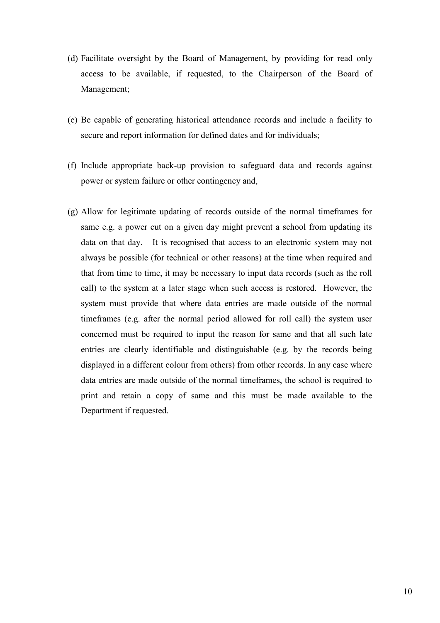- (d) Facilitate oversight by the Board of Management, by providing for read only access to be available, if requested, to the Chairperson of the Board of Management;
- (e) Be capable of generating historical attendance records and include a facility to secure and report information for defined dates and for individuals;
- (f) Include appropriate back-up provision to safeguard data and records against power or system failure or other contingency and,
- (g) Allow for legitimate updating of records outside of the normal timeframes for same e.g. a power cut on a given day might prevent a school from updating its data on that day. It is recognised that access to an electronic system may not always be possible (for technical or other reasons) at the time when required and that from time to time, it may be necessary to input data records (such as the roll call) to the system at a later stage when such access is restored. However, the system must provide that where data entries are made outside of the normal timeframes (e.g. after the normal period allowed for roll call) the system user concerned must be required to input the reason for same and that all such late entries are clearly identifiable and distinguishable (e.g. by the records being displayed in a different colour from others) from other records. In any case where data entries are made outside of the normal timeframes, the school is required to print and retain a copy of same and this must be made available to the Department if requested.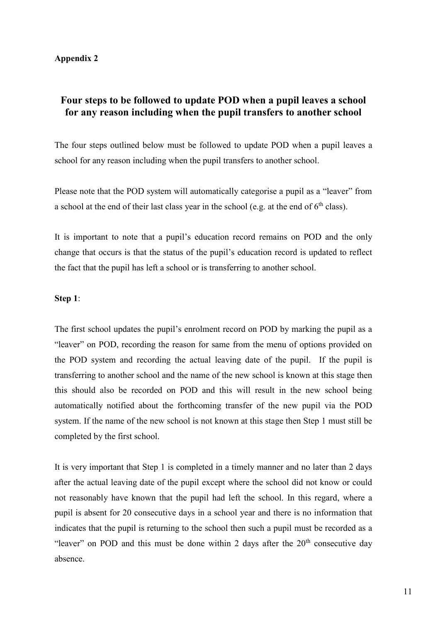## **Appendix 2**

# **Four steps to be followed to update POD when a pupil leaves a school for any reason including when the pupil transfers to another school**

The four steps outlined below must be followed to update POD when a pupil leaves a school for any reason including when the pupil transfers to another school.

Please note that the POD system will automatically categorise a pupil as a "leaver" from a school at the end of their last class year in the school (e.g. at the end of  $6<sup>th</sup>$  class).

It is important to note that a pupil's education record remains on POD and the only change that occurs is that the status of the pupil's education record is updated to reflect the fact that the pupil has left a school or is transferring to another school.

## **Step 1**:

The first school updates the pupil's enrolment record on POD by marking the pupil as a "leaver" on POD, recording the reason for same from the menu of options provided on the POD system and recording the actual leaving date of the pupil. If the pupil is transferring to another school and the name of the new school is known at this stage then this should also be recorded on POD and this will result in the new school being automatically notified about the forthcoming transfer of the new pupil via the POD system. If the name of the new school is not known at this stage then Step 1 must still be completed by the first school.

It is very important that Step 1 is completed in a timely manner and no later than 2 days after the actual leaving date of the pupil except where the school did not know or could not reasonably have known that the pupil had left the school. In this regard, where a pupil is absent for 20 consecutive days in a school year and there is no information that indicates that the pupil is returning to the school then such a pupil must be recorded as a "leaver" on POD and this must be done within 2 days after the  $20<sup>th</sup>$  consecutive day absence.